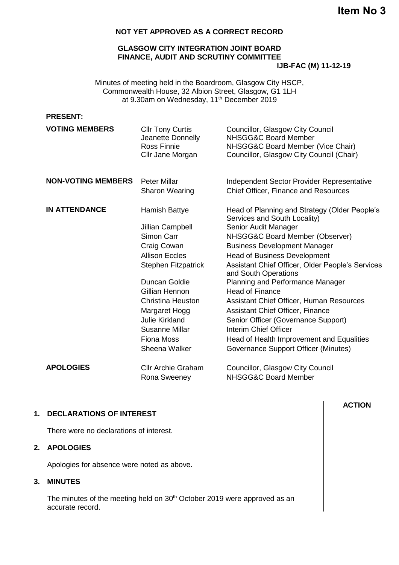**Item No 3**

## **NOT YET APPROVED AS A CORRECT RECORD**

# **GLASGOW CITY INTEGRATION JOINT BOARD FINANCE, AUDIT AND SCRUTINY COMMITTEE**

**IJB-FAC (M) 11-12-19**

Minutes of meeting held in the Boardroom, Glasgow City HSCP, Commonwealth House, 32 Albion Street, Glasgow, G1 1LH at 9.30am on Wednesday, 11th December 2019

| <b>PRESENT:</b> |  |
|-----------------|--|
|                 |  |

| <b>VOTING MEMBERS</b>     | <b>Cllr Tony Curtis</b><br>Jeanette Donnelly<br>Ross Finnie<br>Cllr Jane Morgan | Councillor, Glasgow City Council<br><b>NHSGG&amp;C Board Member</b><br>NHSGG&C Board Member (Vice Chair)<br>Councillor, Glasgow City Council (Chair) |
|---------------------------|---------------------------------------------------------------------------------|------------------------------------------------------------------------------------------------------------------------------------------------------|
| <b>NON-VOTING MEMBERS</b> | <b>Peter Millar</b><br><b>Sharon Wearing</b>                                    | Independent Sector Provider Representative<br><b>Chief Officer, Finance and Resources</b>                                                            |
|                           |                                                                                 |                                                                                                                                                      |
| <b>IN ATTENDANCE</b>      | Hamish Battye                                                                   | Head of Planning and Strategy (Older People's<br>Services and South Locality)                                                                        |
|                           | Jillian Campbell                                                                | Senior Audit Manager                                                                                                                                 |
|                           | Simon Carr                                                                      | NHSGG&C Board Member (Observer)                                                                                                                      |
|                           | Craig Cowan                                                                     | <b>Business Development Manager</b>                                                                                                                  |
|                           | <b>Allison Eccles</b>                                                           | <b>Head of Business Development</b>                                                                                                                  |
|                           | <b>Stephen Fitzpatrick</b>                                                      | Assistant Chief Officer, Older People's Services<br>and South Operations                                                                             |
|                           | Duncan Goldie                                                                   | <b>Planning and Performance Manager</b>                                                                                                              |
|                           | Gillian Hennon                                                                  | <b>Head of Finance</b>                                                                                                                               |
|                           | <b>Christina Heuston</b>                                                        | Assistant Chief Officer, Human Resources                                                                                                             |
|                           | Margaret Hogg                                                                   | Assistant Chief Officer, Finance                                                                                                                     |
|                           | <b>Julie Kirkland</b>                                                           | Senior Officer (Governance Support)                                                                                                                  |
|                           | <b>Susanne Millar</b>                                                           | Interim Chief Officer                                                                                                                                |
|                           | <b>Fiona Moss</b>                                                               | Head of Health Improvement and Equalities                                                                                                            |
|                           | Sheena Walker                                                                   | Governance Support Officer (Minutes)                                                                                                                 |
| <b>APOLOGIES</b>          | <b>Cllr Archie Graham</b>                                                       | Councillor, Glasgow City Council                                                                                                                     |
|                           | Rona Sweeney                                                                    | <b>NHSGG&amp;C Board Member</b>                                                                                                                      |

### **1. DECLARATIONS OF INTEREST**

There were no declarations of interest.

### **2. APOLOGIES**

Apologies for absence were noted as above.

# **3. MINUTES**

The minutes of the meeting held on 30<sup>th</sup> October 2019 were approved as an accurate record.

# **ACTION**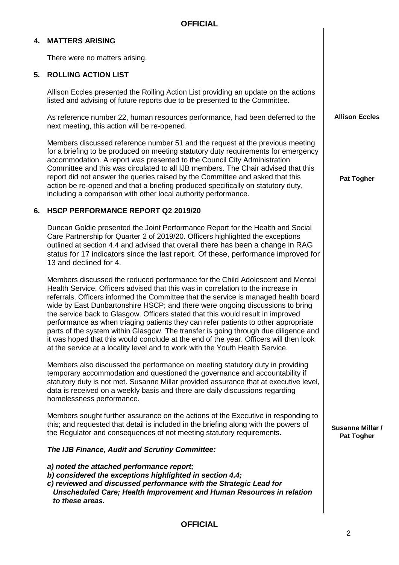# **4. MATTERS ARISING**

There were no matters arising.

### **5. ROLLING ACTION LIST**

Allison Eccles presented the Rolling Action List providing an update on the actions listed and advising of future reports due to be presented to the Committee.

As reference number 22, human resources performance, had been deferred to the next meeting, this action will be re-opened.

Members discussed reference number 51 and the request at the previous meeting for a briefing to be produced on meeting statutory duty requirements for emergency accommodation. A report was presented to the Council City Administration Committee and this was circulated to all IJB members. The Chair advised that this report did not answer the queries raised by the Committee and asked that this action be re-opened and that a briefing produced specifically on statutory duty, including a comparison with other local authority performance.

### **6. HSCP PERFORMANCE REPORT Q2 2019/20**

Duncan Goldie presented the Joint Performance Report for the Health and Social Care Partnership for Quarter 2 of 2019/20. Officers highlighted the exceptions outlined at section 4.4 and advised that overall there has been a change in RAG status for 17 indicators since the last report. Of these, performance improved for 13 and declined for 4.

Members discussed the reduced performance for the Child Adolescent and Mental Health Service. Officers advised that this was in correlation to the increase in referrals. Officers informed the Committee that the service is managed health board wide by East Dunbartonshire HSCP; and there were ongoing discussions to bring the service back to Glasgow. Officers stated that this would result in improved performance as when triaging patients they can refer patients to other appropriate parts of the system within Glasgow. The transfer is going through due diligence and it was hoped that this would conclude at the end of the year. Officers will then look at the service at a locality level and to work with the Youth Health Service.

Members also discussed the performance on meeting statutory duty in providing temporary accommodation and questioned the governance and accountability if statutory duty is not met. Susanne Millar provided assurance that at executive level, data is received on a weekly basis and there are daily discussions regarding homelessness performance.

Members sought further assurance on the actions of the Executive in responding to this; and requested that detail is included in the briefing along with the powers of the Regulator and consequences of not meeting statutory requirements.

#### *The IJB Finance, Audit and Scrutiny Committee:*

*a) noted the attached performance report;*

*b) considered the exceptions highlighted in section 4.4;*

*c) reviewed and discussed performance with the Strategic Lead for* 

*Unscheduled Care; Health Improvement and Human Resources in relation to these areas.*

**OFFICIAL**

**Allison Eccles**

**Pat Togher**

**Susanne Millar / Pat Togher**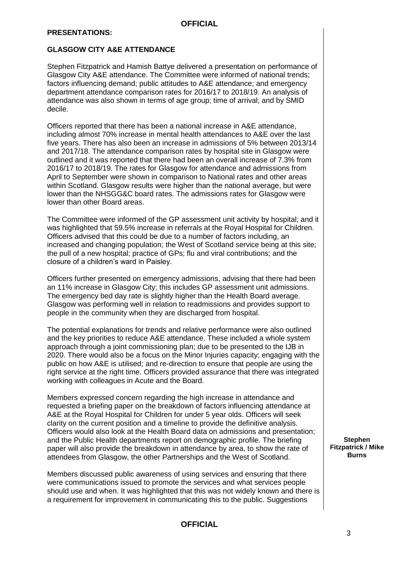### **GLASGOW CITY A&E ATTENDANCE**

Stephen Fitzpatrick and Hamish Battye delivered a presentation on performance of Glasgow City A&E attendance. The Committee were informed of national trends; factors influencing demand; public attitudes to A&E attendance; and emergency department attendance comparison rates for 2016/17 to 2018/19. An analysis of attendance was also shown in terms of age group; time of arrival; and by SMID decile.

Officers reported that there has been a national increase in A&E attendance, including almost 70% increase in mental health attendances to A&E over the last five years. There has also been an increase in admissions of 5% between 2013/14 and 2017/18. The attendance comparison rates by hospital site in Glasgow were outlined and it was reported that there had been an overall increase of 7.3% from 2016/17 to 2018/19. The rates for Glasgow for attendance and admissions from April to September were shown in comparison to National rates and other areas within Scotland. Glasgow results were higher than the national average, but were lower than the NHSGG&C board rates. The admissions rates for Glasgow were lower than other Board areas.

The Committee were informed of the GP assessment unit activity by hospital; and it was highlighted that 59.5% increase in referrals at the Royal Hospital for Children. Officers advised that this could be due to a number of factors including, an increased and changing population; the West of Scotland service being at this site; the pull of a new hospital; practice of GPs; flu and viral contributions; and the closure of a children's ward in Paisley.

Officers further presented on emergency admissions, advising that there had been an 11% increase in Glasgow City; this includes GP assessment unit admissions. The emergency bed day rate is slightly higher than the Health Board average. Glasgow was performing well in relation to readmissions and provides support to people in the community when they are discharged from hospital.

The potential explanations for trends and relative performance were also outlined and the key priorities to reduce A&E attendance. These included a whole system approach through a joint commissioning plan; due to be presented to the IJB in 2020. There would also be a focus on the Minor Injuries capacity; engaging with the public on how A&E is utilised; and re-direction to ensure that people are using the right service at the right time. Officers provided assurance that there was integrated working with colleagues in Acute and the Board.

Members expressed concern regarding the high increase in attendance and requested a briefing paper on the breakdown of factors influencing attendance at A&E at the Royal Hospital for Children for under 5 year olds. Officers will seek clarity on the current position and a timeline to provide the definitive analysis. Officers would also look at the Health Board data on admissions and presentation; and the Public Health departments report on demographic profile. The briefing paper will also provide the breakdown in attendance by area, to show the rate of attendees from Glasgow, the other Partnerships and the West of Scotland.

Members discussed public awareness of using services and ensuring that there were communications issued to promote the services and what services people should use and when. It was highlighted that this was not widely known and there is a requirement for improvement in communicating this to the public. Suggestions

**Stephen Fitzpatrick / Mike Burns**

## **OFFICIAL**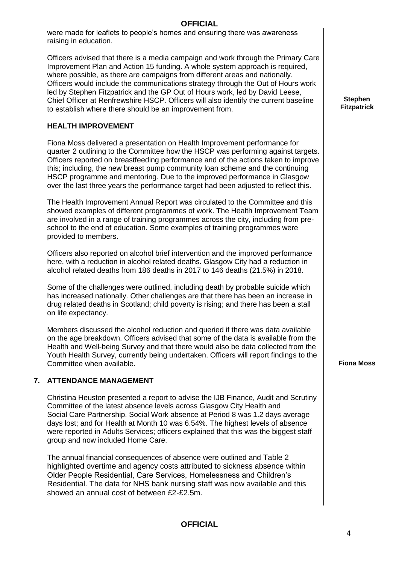were made for leaflets to people's homes and ensuring there was awareness raising in education.

Officers advised that there is a media campaign and work through the Primary Care Improvement Plan and Action 15 funding. A whole system approach is required, where possible, as there are campaigns from different areas and nationally. Officers would include the communications strategy through the Out of Hours work led by Stephen Fitzpatrick and the GP Out of Hours work, led by David Leese, Chief Officer at Renfrewshire HSCP. Officers will also identify the current baseline to establish where there should be an improvement from.

### **HEALTH IMPROVEMENT**

Fiona Moss delivered a presentation on Health Improvement performance for quarter 2 outlining to the Committee how the HSCP was performing against targets. Officers reported on breastfeeding performance and of the actions taken to improve this; including, the new breast pump community loan scheme and the continuing HSCP programme and mentoring. Due to the improved performance in Glasgow over the last three years the performance target had been adjusted to reflect this.

The Health Improvement Annual Report was circulated to the Committee and this showed examples of different programmes of work. The Health Improvement Team are involved in a range of training programmes across the city, including from preschool to the end of education. Some examples of training programmes were provided to members.

Officers also reported on alcohol brief intervention and the improved performance here, with a reduction in alcohol related deaths. Glasgow City had a reduction in alcohol related deaths from 186 deaths in 2017 to 146 deaths (21.5%) in 2018.

Some of the challenges were outlined, including death by probable suicide which has increased nationally. Other challenges are that there has been an increase in drug related deaths in Scotland; child poverty is rising; and there has been a stall on life expectancy.

Members discussed the alcohol reduction and queried if there was data available on the age breakdown. Officers advised that some of the data is available from the Health and Well-being Survey and that there would also be data collected from the Youth Health Survey, currently being undertaken. Officers will report findings to the Committee when available. **Fiona Moss**

### **7. ATTENDANCE MANAGEMENT**

Christina Heuston presented a report to advise the IJB Finance, Audit and Scrutiny Committee of the latest absence levels across Glasgow City Health and Social Care Partnership. Social Work absence at Period 8 was 1.2 days average days lost; and for Health at Month 10 was 6.54%. The highest levels of absence were reported in Adults Services; officers explained that this was the biggest staff group and now included Home Care.

The annual financial consequences of absence were outlined and Table 2 highlighted overtime and agency costs attributed to sickness absence within Older People Residential, Care Services, Homelessness and Children's Residential. The data for NHS bank nursing staff was now available and this showed an annual cost of between £2-£2.5m.

### **OFFICIAL**

**Stephen Fitzpatrick**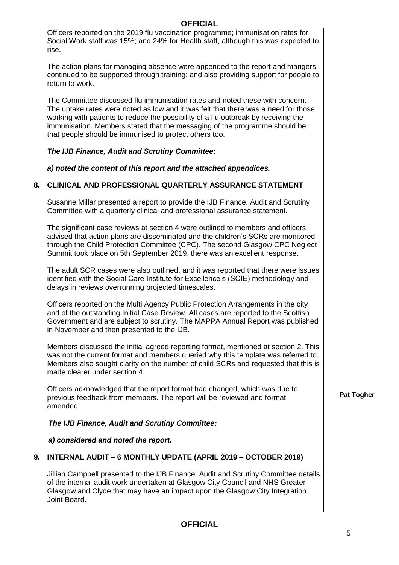Officers reported on the 2019 flu vaccination programme; immunisation rates for Social Work staff was 15%; and 24% for Health staff, although this was expected to rise.

The action plans for managing absence were appended to the report and mangers continued to be supported through training; and also providing support for people to return to work.

The Committee discussed flu immunisation rates and noted these with concern. The uptake rates were noted as low and it was felt that there was a need for those working with patients to reduce the possibility of a flu outbreak by receiving the immunisation. Members stated that the messaging of the programme should be that people should be immunised to protect others too.

#### *The IJB Finance, Audit and Scrutiny Committee:*

*a) noted the content of this report and the attached appendices.*

#### **8. CLINICAL AND PROFESSIONAL QUARTERLY ASSURANCE STATEMENT**

Susanne Millar presented a report to provide the IJB Finance, Audit and Scrutiny Committee with a quarterly clinical and professional assurance statement.

The significant case reviews at section 4 were outlined to members and officers advised that action plans are disseminated and the children's SCRs are monitored through the Child Protection Committee (CPC). The second Glasgow CPC Neglect Summit took place on 5th September 2019, there was an excellent response.

The adult SCR cases were also outlined, and it was reported that there were issues identified with the Social Care Institute for Excellence's (SCIE) methodology and delays in reviews overrunning projected timescales.

Officers reported on the Multi Agency Public Protection Arrangements in the city and of the outstanding Initial Case Review. All cases are reported to the Scottish Government and are subject to scrutiny. The MAPPA Annual Report was published in November and then presented to the IJB.

Members discussed the initial agreed reporting format, mentioned at section 2. This was not the current format and members queried why this template was referred to. Members also sought clarity on the number of child SCRs and requested that this is made clearer under section 4.

Officers acknowledged that the report format had changed, which was due to previous feedback from members. The report will be reviewed and format amended.

### *The IJB Finance, Audit and Scrutiny Committee:*

#### *a) considered and noted the report.*

### **9. INTERNAL AUDIT – 6 MONTHLY UPDATE (APRIL 2019 – OCTOBER 2019)**

Jillian Campbell presented to the IJB Finance, Audit and Scrutiny Committee details of the internal audit work undertaken at Glasgow City Council and NHS Greater Glasgow and Clyde that may have an impact upon the Glasgow City Integration Joint Board.

## **OFFICIAL**

**Pat Togher**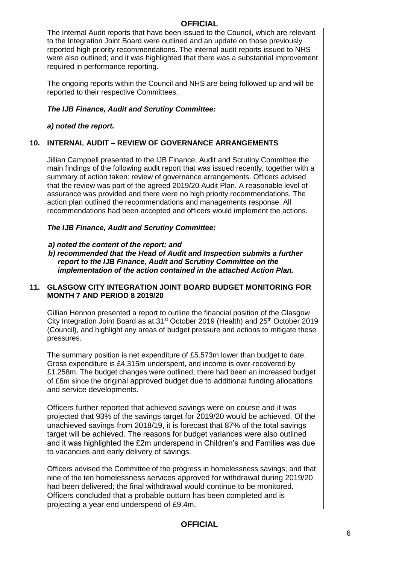The Internal Audit reports that have been issued to the Council, which are relevant to the Integration Joint Board were outlined and an update on those previously reported high priority recommendations. The internal audit reports issued to NHS were also outlined; and it was highlighted that there was a substantial improvement required in performance reporting.

The ongoing reports within the Council and NHS are being followed up and will be reported to their respective Committees.

### *The IJB Finance, Audit and Scrutiny Committee:*

### *a) noted the report.*

### **10. INTERNAL AUDIT – REVIEW OF GOVERNANCE ARRANGEMENTS**

Jillian Campbell presented to the IJB Finance, Audit and Scrutiny Committee the main findings of the following audit report that was issued recently, together with a summary of action taken: review of governance arrangements. Officers advised that the review was part of the agreed 2019/20 Audit Plan. A reasonable level of assurance was provided and there were no high priority recommendations. The action plan outlined the recommendations and managements response. All recommendations had been accepted and officers would implement the actions.

### *The IJB Finance, Audit and Scrutiny Committee:*

#### *a) noted the content of the report; and*

*b) recommended that the Head of Audit and Inspection submits a further report to the IJB Finance, Audit and Scrutiny Committee on the implementation of the action contained in the attached Action Plan.*

### **11. GLASGOW CITY INTEGRATION JOINT BOARD BUDGET MONITORING FOR MONTH 7 AND PERIOD 8 2019/20**

Gillian Hennon presented a report to outline the financial position of the Glasgow City Integration Joint Board as at 31<sup>st</sup> October 2019 (Health) and 25<sup>th</sup> October 2019 (Council), and highlight any areas of budget pressure and actions to mitigate these pressures.

The summary position is net expenditure of £5.573m lower than budget to date. Gross expenditure is £4.315m underspent, and income is over-recovered by £1.258m. The budget changes were outlined; there had been an increased budget of £6m since the original approved budget due to additional funding allocations and service developments.

Officers further reported that achieved savings were on course and it was projected that 93% of the savings target for 2019/20 would be achieved. Of the unachieved savings from 2018/19, it is forecast that 87% of the total savings target will be achieved. The reasons for budget variances were also outlined and it was highlighted the £2m underspend in Children's and Families was due to vacancies and early delivery of savings.

Officers advised the Committee of the progress in homelessness savings; and that nine of the ten homelessness services approved for withdrawal during 2019/20 had been delivered; the final withdrawal would continue to be monitored. Officers concluded that a probable outturn has been completed and is projecting a year end underspend of £9.4m.

## **OFFICIAL**